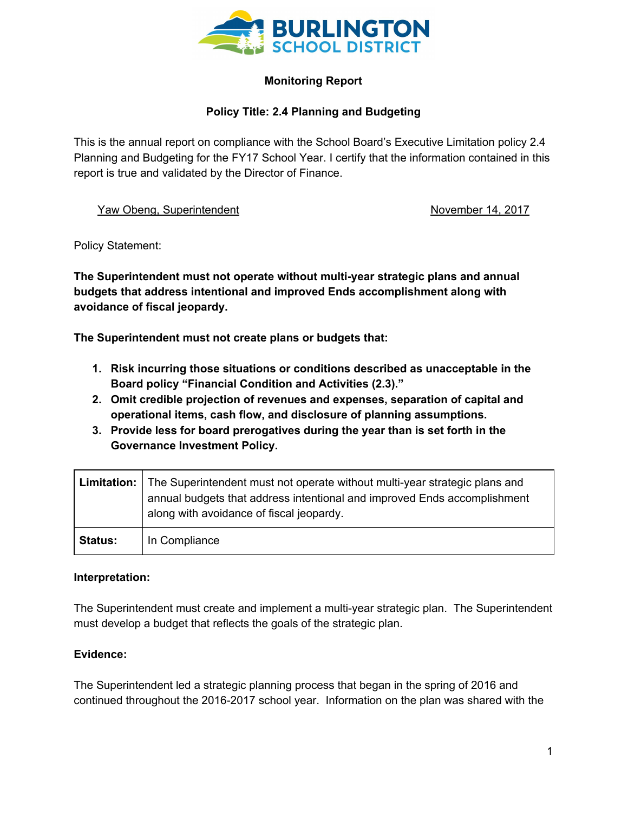

# **Monitoring Report**

# **Policy Title: 2.4 Planning and Budgeting**

This is the annual report on compliance with the School Board's Executive Limitation policy 2.4 Planning and Budgeting for the FY17 School Year. I certify that the information contained in this report is true and validated by the Director of Finance.

Yaw Obeng, Superintendent November 14, 2017

Policy Statement:

**The Superintendent must not operate without multi-year strategic plans and annual budgets that address intentional and improved Ends accomplishment along with avoidance of fiscal jeopardy.**

**The Superintendent must not create plans or budgets that:**

- **1. Risk incurring those situations or conditions described as unacceptable in the Board policy "Financial Condition and Activities (2.3)."**
- **2. Omit credible projection of revenues and expenses, separation of capital and operational items, cash flow, and disclosure of planning assumptions.**
- **3. Provide less for board prerogatives during the year than is set forth in the Governance Investment Policy.**

|                | Limitation: The Superintendent must not operate without multi-year strategic plans and<br>annual budgets that address intentional and improved Ends accomplishment<br>along with avoidance of fiscal jeopardy. |
|----------------|----------------------------------------------------------------------------------------------------------------------------------------------------------------------------------------------------------------|
| <b>Status:</b> | In Compliance                                                                                                                                                                                                  |

## **Interpretation:**

The Superintendent must create and implement a multi-year strategic plan. The Superintendent must develop a budget that reflects the goals of the strategic plan.

## **Evidence:**

The Superintendent led a strategic planning process that began in the spring of 2016 and continued throughout the 2016-2017 school year. Information on the plan was shared with the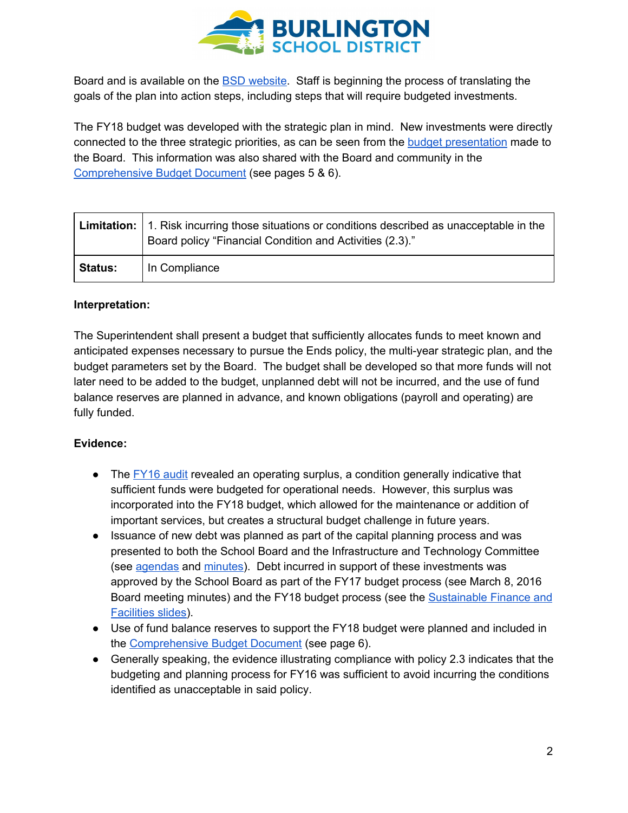

Board and is available on the BSD [website.](http://www.bsdvt.org/district/strategic-plan/) Staff is beginning the process of translating the goals of the plan into action steps, including steps that will require budgeted investments.

The FY18 budget was developed with the strategic plan in mind. New investments were directly connected to the three strategic priorities, as can be seen from the budget [presentation](http://www.bsdvt.org/wp-content/uploads/2017/07/20170111-FY18-Budget-Presentation-Board-Approved.pdf) made to the Board. This information was also shared with the Board and community in the [Comprehensive](http://www.bsdvt.org/wp-content/uploads/2017/07/FY18-Comprehensive-Budget-Document.pdf) Budget Document (see pages 5 & 6).

|                | <b>Limitation:</b> 1. Risk incurring those situations or conditions described as unacceptable in the<br>Board policy "Financial Condition and Activities (2.3)." |
|----------------|------------------------------------------------------------------------------------------------------------------------------------------------------------------|
| <b>Status:</b> | In Compliance                                                                                                                                                    |

## **Interpretation:**

The Superintendent shall present a budget that sufficiently allocates funds to meet known and anticipated expenses necessary to pursue the Ends policy, the multi-year strategic plan, and the budget parameters set by the Board. The budget shall be developed so that more funds will not later need to be added to the budget, unplanned debt will not be incurred, and the use of fund balance reserves are planned in advance, and known obligations (payroll and operating) are fully funded.

## **Evidence:**

- The [FY16](http://www.bsdvt.org/wp-content/uploads/2017/07/Burlington-Sch-Dist-16-FS-final.pdf) audit revealed an operating surplus, a condition generally indicative that sufficient funds were budgeted for operational needs. However, this surplus was incorporated into the FY18 budget, which allowed for the maintenance or addition of important services, but creates a structural budget challenge in future years.
- Issuance of new debt was planned as part of the capital planning process and was presented to both the School Board and the Infrastructure and Technology Committee (see [agendas](http://www.boarddocs.com/vt/bsdvt/Board.nsf/vpublic?open) and [minutes\)](http://www.bsdvt.org/school-board/agendaminutes/). Debt incurred in support of these investments was approved by the School Board as part of the FY17 budget process (see March 8, 2016 Board meeting minutes) and the FY18 budget process (see the **[Sustainable](http://www.bsdvt.org/wp-content/uploads/2017/07/20170111-FY18-Budget-Presentation-Board-Approved.pdf) Finance and** [Facilities](http://www.bsdvt.org/wp-content/uploads/2017/07/20170111-FY18-Budget-Presentation-Board-Approved.pdf) slides).
- Use of fund balance reserves to support the FY18 budget were planned and included in the [Comprehensive](http://www.bsdvt.org/wp-content/uploads/2017/07/FY18-Comprehensive-Budget-Document.pdf) Budget Document (see page 6).
- Generally speaking, the evidence illustrating compliance with policy 2.3 indicates that the budgeting and planning process for FY16 was sufficient to avoid incurring the conditions identified as unacceptable in said policy.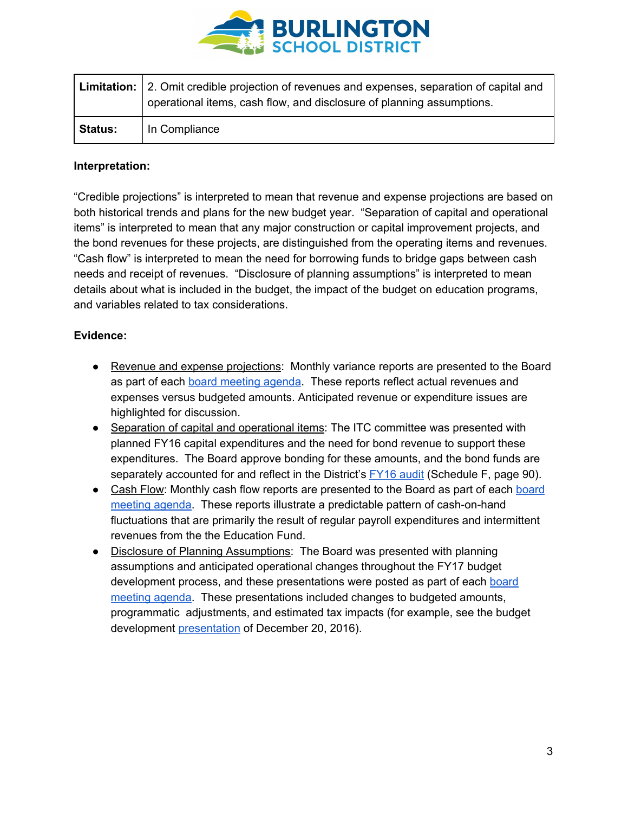

|                | Limitation: 2. Omit credible projection of revenues and expenses, separation of capital and<br>operational items, cash flow, and disclosure of planning assumptions. |
|----------------|----------------------------------------------------------------------------------------------------------------------------------------------------------------------|
| <b>Status:</b> | In Compliance                                                                                                                                                        |

#### **Interpretation:**

"Credible projections" is interpreted to mean that revenue and expense projections are based on both historical trends and plans for the new budget year. "Separation of capital and operational items" is interpreted to mean that any major construction or capital improvement projects, and the bond revenues for these projects, are distinguished from the operating items and revenues. "Cash flow" is interpreted to mean the need for borrowing funds to bridge gaps between cash needs and receipt of revenues. "Disclosure of planning assumptions" is interpreted to mean details about what is included in the budget, the impact of the budget on education programs, and variables related to tax considerations.

#### **Evidence:**

- Revenue and expense projections: Monthly variance reports are presented to the Board as part of each board [meeting](http://www.boarddocs.com/vt/bsdvt/Board.nsf/vpublic?open) agenda. These reports reflect actual revenues and expenses versus budgeted amounts. Anticipated revenue or expenditure issues are highlighted for discussion.
- Separation of capital and operational items: The ITC committee was presented with planned FY16 capital expenditures and the need for bond revenue to support these expenditures. The Board approve bonding for these amounts, and the bond funds are separately accounted for and reflect in the District's **[FY16](http://www.bsdvt.org/wp-content/uploads/2017/07/Burlington-Sch-Dist-16-FS-final.pdf) audit** (Schedule F, page 90).
- Cash Flow: Monthly cash flow reports are presented to the Board as part of each [board](http://www.boarddocs.com/vt/bsdvt/Board.nsf/vpublic?open) [meeting](http://www.boarddocs.com/vt/bsdvt/Board.nsf/vpublic?open) agenda. These reports illustrate a predictable pattern of cash-on-hand fluctuations that are primarily the result of regular payroll expenditures and intermittent revenues from the the Education Fund.
- Disclosure of Planning Assumptions: The Board was presented with planning assumptions and anticipated operational changes throughout the FY17 budget development process, and these presentations were posted as part of each [board](http://www.boarddocs.com/vt/bsdvt/Board.nsf/vpublic?open) [meeting](http://www.boarddocs.com/vt/bsdvt/Board.nsf/vpublic?open) agenda. These presentations included changes to budgeted amounts, programmatic adjustments, and estimated tax impacts (for example, see the budget development [presentation](http://www.boarddocs.com/vt/bsdvt/Board.nsf/files/AGUBWP8350BB/$file/FY18%20Budget%20Development%20Update%2020161220.pdf) of December 20, 2016).